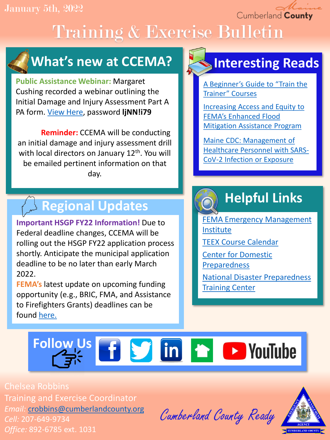Cumberland County

# Training & Exercise Bulletin

### **What's new at CCEMA?**

**Public Assistance Webinar:** Margaret Cushing recorded a webinar outlining the Initial Damage and Injury Assessment Part A PA form. [View Here,](https://us02web.zoom.us/rec/play/IJ0Do9Q7kDbB1tt4HCdS9vggSr9GIDupaYGfPepJPJluVz9JVk2kPUgxGuGNUcD9p2L_S8AewZm6N01x.KBCJsrbHhJj-Am8C?continueMode=true) password **ljNN!i79**

**Reminder:** CCEMA will be conducting an initial damage and injury assessment drill with local directors on January 12<sup>th</sup>. You will be emailed pertinent information on that day.

### **Regional Updates**

**Important HSGP FY22 Information!** Due to Federal deadline changes, CCEMA will be rolling out the HSGP FY22 application process shortly. Anticipate the municipal application deadline to be no later than early March 2022.

**FEMA's** latest update on upcoming funding opportunity (e.g., BRIC, FMA, and Assistance to Firefighters Grants) deadlines can be found [here.](https://content.govdelivery.com/bulletins/gd/USDHSFEMA-301ffdf?wgt_ref=USDHSFEMA_WIDGET_EA)

### **Interesting Reads**

[A Beginner's Guide to "Train the](https://hrdqstore.com/blogs/hrdq-blog/train-the-trainer-courses?utm_source=ActiveCampaign&utm_medium=email&utm_content=Who+trains+the+trainer%3F&utm_campaign=HRDQstore+Blog+Post+Update+Test)  Trainer" Courses

[Increasing Access and Equity to](https://hagertyconsulting.com/about-us/blog/increasing-access-and-equity-to-femas-enhanced-flood-mitigation-assistance-program/) FEMA's Enhanced Flood Mitigation Assistance Program

Maine CDC: Management of [Healthcare Personnel with SARS-](https://www.maine.gov/dhhs/mecdc/infectious-disease/epi/airborne/documents/2021PHADV030HealthCarePersonnelCOVIDPositive.pdf)CoV-2 Infection or Exposure

## **Helpful Links**

[FEMA Emergency Management](https://training.fema.gov/is/) Institute

[TEEX Course Calendar](https://teex.org/course-calendar/)

[Center for Domestic](https://cdp.dhs.gov/)  Preparedness

[National Disaster Preparedness](https://ndptc.hawaii.edu/training/)  **Training Center** 

# Follow Us **f S** in **f D** YouTube

Chelsea Robbins Training and Exercise Coordinator *Email:* [crobbins@cumberlandcounty.org](mailto:crobbins@cumberlandcounty.org) *Cell:* 207-649-9734 *Office:* 892-6785 ext. 1031

Cumberland County Ready